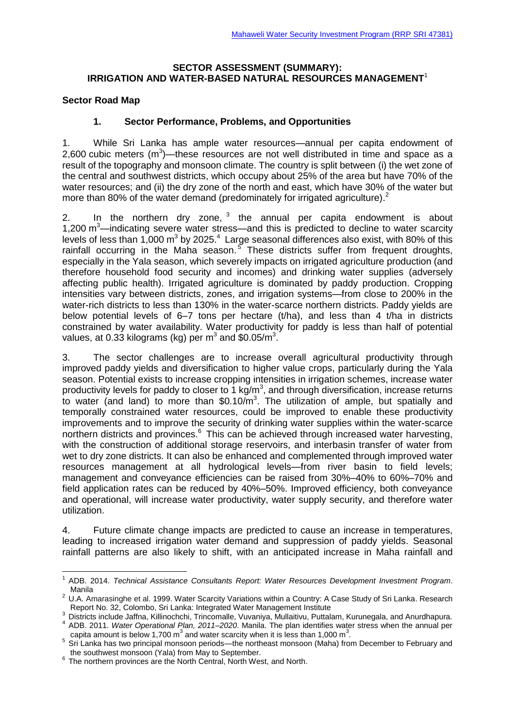#### **SECTOR ASSESSMENT (SUMMARY): IRRIGATION AND WATER-BASED NATURAL RESOURCES MANAGEMENT**<sup>1</sup>

### **Sector Road Map**

1

### **1. Sector Performance, Problems, and Opportunities**

1. While Sri Lanka has ample water resources—annual per capita endowment of 2,600 cubic meters  $(m^3)$ —these resources are not well distributed in time and space as a result of the topography and monsoon climate. The country is split between (i) the wet zone of the central and southwest districts, which occupy about 25% of the area but have 70% of the water resources; and (ii) the dry zone of the north and east, which have 30% of the water but more than 80% of the water demand (predominately for irrigated agriculture).<sup>2</sup>

2. In the northern dry zone,  $3$  the annual per capita endowment is about 1,200  $\text{m}^3$ —indicating severe water stress—and this is predicted to decline to water scarcity levels of less than 1,000 m<sup>3</sup> by 2025.<sup>4</sup> Large seasonal differences also exist, with 80% of this rainfall occurring in the Maha season.<sup>5</sup> These districts suffer from frequent droughts, especially in the Yala season, which severely impacts on irrigated agriculture production (and therefore household food security and incomes) and drinking water supplies (adversely affecting public health). Irrigated agriculture is dominated by paddy production. Cropping intensities vary between districts, zones, and irrigation systems—from close to 200% in the water-rich districts to less than 130% in the water-scarce northern districts. Paddy yields are below potential levels of 6–7 tons per hectare (t/ha), and less than 4 t/ha in districts constrained by water availability. Water productivity for paddy is less than half of potential values, at 0.33 kilograms (kg) per  $m^3$  and \$0.05/m<sup>3</sup>.

3. The sector challenges are to increase overall agricultural productivity through improved paddy yields and diversification to higher value crops, particularly during the Yala season. Potential exists to increase cropping intensities in irrigation schemes, increase water productivity levels for paddy to closer to 1 kg/m<sup>3</sup>, and through diversification, increase returns to water (and land) to more than  $$0.10/m<sup>3</sup>$ . The utilization of ample, but spatially and temporally constrained water resources, could be improved to enable these productivity improvements and to improve the security of drinking water supplies within the water-scarce northern districts and provinces.<sup>6</sup> This can be achieved through increased water harvesting, with the construction of additional storage reservoirs, and interbasin transfer of water from wet to dry zone districts. It can also be enhanced and complemented through improved water resources management at all hydrological levels—from river basin to field levels; management and conveyance efficiencies can be raised from 30%–40% to 60%–70% and field application rates can be reduced by 40%–50%. Improved efficiency, both conveyance and operational, will increase water productivity, water supply security, and therefore water utilization.

4. Future climate change impacts are predicted to cause an increase in temperatures, leading to increased irrigation water demand and suppression of paddy yields. Seasonal rainfall patterns are also likely to shift, with an anticipated increase in Maha rainfall and

<sup>1</sup> ADB. 2014. *Technical Assistance Consultants Report: Water Resources Development Investment Program*. Manila

<sup>&</sup>lt;sup>2</sup> U.A. Amarasinghe et al. 1999. Water Scarcity Variations within a Country: A Case Study of Sri Lanka. Research Report No. 32, Colombo, Sri Lanka: Integrated Water Management Institute

<sup>&</sup>lt;sup>3</sup> Districts include Jaffna, Killinochchi, Trincomalle, Vuvaniya, Mullaitivu, Puttalam, Kurunegala, and Anurdhapura.<br><sup>4</sup> ADB. 2011. *Water Operational Plan, 2011–2020*. Manila. The plan identifies water stress when the an capita amount is below 1,700 m<sup>3</sup> and water scarcity when it is less than 1,000 m<sup>3</sup>.

<sup>&</sup>lt;sup>5</sup> Sri Lanka has two principal monsoon periods—the northeast monsoon (Maha) from December to February and

the southwest monsoon (Yala) from May to September. 6 The northern provinces are the North Central, North West, and North.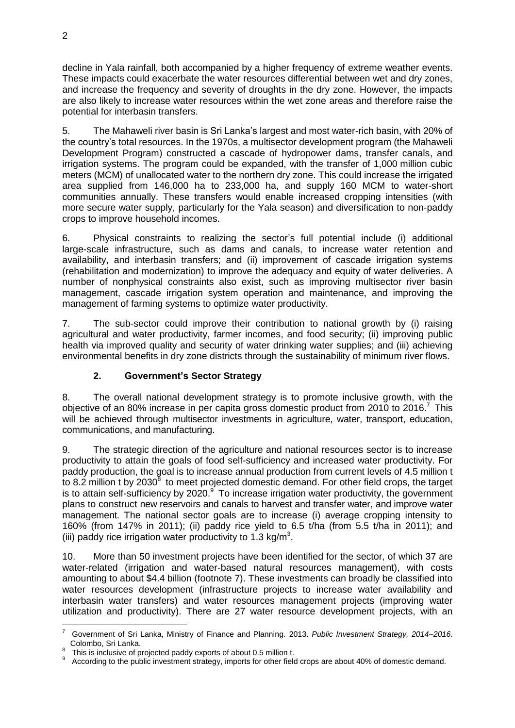decline in Yala rainfall, both accompanied by a higher frequency of extreme weather events. These impacts could exacerbate the water resources differential between wet and dry zones, and increase the frequency and severity of droughts in the dry zone. However, the impacts are also likely to increase water resources within the wet zone areas and therefore raise the potential for interbasin transfers.

5. The Mahaweli river basin is Sri Lanka's largest and most water-rich basin, with 20% of the country's total resources. In the 1970s, a multisector development program (the Mahaweli Development Program) constructed a cascade of hydropower dams, transfer canals, and irrigation systems. The program could be expanded, with the transfer of 1,000 million cubic meters (MCM) of unallocated water to the northern dry zone. This could increase the irrigated area supplied from 146,000 ha to 233,000 ha, and supply 160 MCM to water-short communities annually. These transfers would enable increased cropping intensities (with more secure water supply, particularly for the Yala season) and diversification to non-paddy crops to improve household incomes.

6. Physical constraints to realizing the sector's full potential include (i) additional large-scale infrastructure, such as dams and canals, to increase water retention and availability, and interbasin transfers; and (ii) improvement of cascade irrigation systems (rehabilitation and modernization) to improve the adequacy and equity of water deliveries. A number of nonphysical constraints also exist, such as improving multisector river basin management, cascade irrigation system operation and maintenance, and improving the management of farming systems to optimize water productivity.

7. The sub-sector could improve their contribution to national growth by (i) raising agricultural and water productivity, farmer incomes, and food security; (ii) improving public health via improved quality and security of water drinking water supplies; and (iii) achieving environmental benefits in dry zone districts through the sustainability of minimum river flows.

# **2. Government's Sector Strategy**

8. The overall national development strategy is to promote inclusive growth, with the objective of an 80% increase in per capita gross domestic product from 2010 to 2016.<sup>7</sup> This will be achieved through multisector investments in agriculture, water, transport, education, communications, and manufacturing.

9. The strategic direction of the agriculture and national resources sector is to increase productivity to attain the goals of food self-sufficiency and increased water productivity. For paddy production, the goal is to increase annual production from current levels of 4.5 million t to 8.2 million t by 2030<sup>8</sup> to meet projected domestic demand. For other field crops, the target is to attain self-sufficiency by 2020.<sup>9</sup> To increase irrigation water productivity, the government plans to construct new reservoirs and canals to harvest and transfer water, and improve water management. The national sector goals are to increase (i) average cropping intensity to 160% (from 147% in 2011); (ii) paddy rice yield to 6.5 t/ha (from 5.5 t/ha in 2011); and (iii) paddy rice irrigation water productivity to 1.3 kg/m<sup>3</sup>.

10. More than 50 investment projects have been identified for the sector, of which 37 are water-related (irrigation and water-based natural resources management), with costs amounting to about \$4.4 billion (footnote 7). These investments can broadly be classified into water resources development (infrastructure projects to increase water availability and interbasin water transfers) and water resources management projects (improving water utilization and productivity). There are 27 water resource development projects, with an

<sup>&</sup>lt;u>.</u> 7 Government of Sri Lanka, Ministry of Finance and Planning. 2013. *Public Investment Strategy, 2014–2016*. Colombo, Sri Lanka.

<sup>8</sup> This is inclusive of projected paddy exports of about 0.5 million t.

<sup>9</sup> According to the public investment strategy, imports for other field crops are about 40% of domestic demand.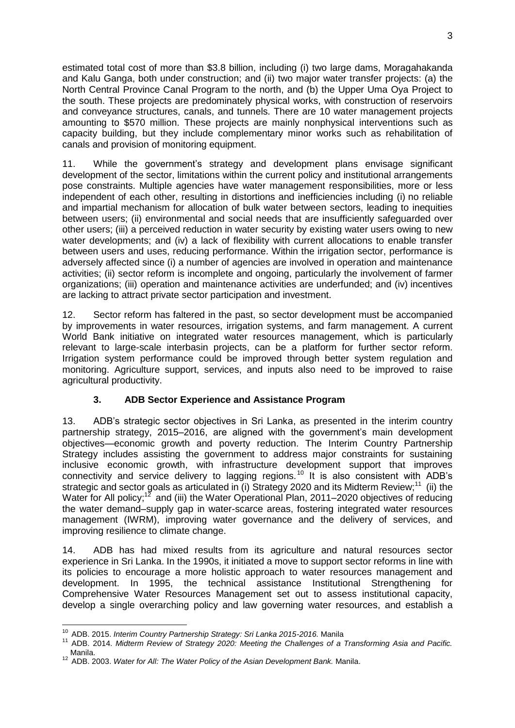estimated total cost of more than \$3.8 billion, including (i) two large dams, Moragahakanda and Kalu Ganga, both under construction; and (ii) two major water transfer projects: (a) the North Central Province Canal Program to the north, and (b) the Upper Uma Oya Project to the south. These projects are predominately physical works, with construction of reservoirs and conveyance structures, canals, and tunnels. There are 10 water management projects amounting to \$570 million. These projects are mainly nonphysical interventions such as capacity building, but they include complementary minor works such as rehabilitation of canals and provision of monitoring equipment.

11. While the government's strategy and development plans envisage significant development of the sector, limitations within the current policy and institutional arrangements pose constraints. Multiple agencies have water management responsibilities, more or less independent of each other, resulting in distortions and inefficiencies including (i) no reliable and impartial mechanism for allocation of bulk water between sectors, leading to inequities between users; (ii) environmental and social needs that are insufficiently safeguarded over other users; (iii) a perceived reduction in water security by existing water users owing to new water developments; and (iv) a lack of flexibility with current allocations to enable transfer between users and uses, reducing performance. Within the irrigation sector, performance is adversely affected since (i) a number of agencies are involved in operation and maintenance activities; (ii) sector reform is incomplete and ongoing, particularly the involvement of farmer organizations; (iii) operation and maintenance activities are underfunded; and (iv) incentives are lacking to attract private sector participation and investment.

12. Sector reform has faltered in the past, so sector development must be accompanied by improvements in water resources, irrigation systems, and farm management. A current World Bank initiative on integrated water resources management, which is particularly relevant to large-scale interbasin projects, can be a platform for further sector reform. Irrigation system performance could be improved through better system regulation and monitoring. Agriculture support, services, and inputs also need to be improved to raise agricultural productivity.

# **3. ADB Sector Experience and Assistance Program**

13. ADB's strategic sector objectives in Sri Lanka, as presented in the interim country partnership strategy, 2015–2016, are aligned with the government's main development objectives—economic growth and poverty reduction. The Interim Country Partnership Strategy includes assisting the government to address major constraints for sustaining inclusive economic growth, with infrastructure development support that improves connectivity and service delivery to lagging regions.<sup>10</sup> It is also consistent with ADB's strategic and sector goals as articulated in (i) Strategy 2020 and its Midterm Review;<sup>11</sup> (ii) the Water for All policy;<sup>12</sup> and (iii) the Water Operational Plan, 2011–2020 objectives of reducing the water demand–supply gap in water-scarce areas, fostering integrated water resources management (IWRM), improving water governance and the delivery of services, and improving resilience to climate change.

14. ADB has had mixed results from its agriculture and natural resources sector experience in Sri Lanka. In the 1990s, it initiated a move to support sector reforms in line with its policies to encourage a more holistic approach to water resources management and development. In 1995, the technical assistance Institutional Strengthening for Comprehensive Water Resources Management set out to assess institutional capacity, develop a single overarching policy and law governing water resources, and establish a

<u>.</u>

<sup>10</sup> ADB. 2015. *Interim Country Partnership Strategy: Sri Lanka 2015-2016.* Manila

<sup>11</sup> ADB. 2014. *Midterm Review of Strategy 2020: Meeting the Challenges of a Transforming Asia and Pacific.* Manila.

<sup>12</sup> ADB. 2003. *Water for All: The Water Policy of the Asian Development Bank.* Manila.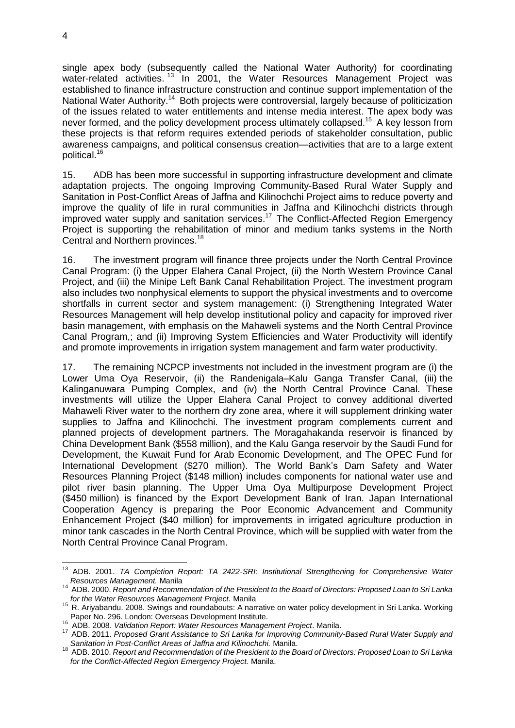single apex body (subsequently called the National Water Authority) for coordinating water-related activities.<sup>13</sup> In 2001, the Water Resources Management Project was established to finance infrastructure construction and continue support implementation of the National Water Authority.<sup>14</sup> Both projects were controversial, largely because of politicization of the issues related to water entitlements and intense media interest. The apex body was never formed, and the policy development process ultimately collapsed.<sup>15</sup> A key lesson from these projects is that reform requires extended periods of stakeholder consultation, public awareness campaigns, and political consensus creation—activities that are to a large extent political. 16

15. ADB has been more successful in supporting infrastructure development and climate adaptation projects. The ongoing Improving Community-Based Rural Water Supply and Sanitation in Post-Conflict Areas of Jaffna and Kilinochchi Project aims to reduce poverty and improve the quality of life in rural communities in Jaffna and Kilinochchi districts through improved water supply and sanitation services.<sup>17</sup> The Conflict-Affected Region Emergency Project is supporting the rehabilitation of minor and medium tanks systems in the North Central and Northern provinces. 18

16. The investment program will finance three projects under the North Central Province Canal Program: (i) the Upper Elahera Canal Project, (ii) the North Western Province Canal Project, and (iii) the Minipe Left Bank Canal Rehabilitation Project. The investment program also includes two nonphysical elements to support the physical investments and to overcome shortfalls in current sector and system management: (i) Strengthening Integrated Water Resources Management will help develop institutional policy and capacity for improved river basin management, with emphasis on the Mahaweli systems and the North Central Province Canal Program,; and (ii) Improving System Efficiencies and Water Productivity will identify and promote improvements in irrigation system management and farm water productivity.

17. The remaining NCPCP investments not included in the investment program are (i) the Lower Uma Oya Reservoir, (ii) the Randenigala–Kalu Ganga Transfer Canal, (iii) the Kalinganuwara Pumping Complex, and (iv) the North Central Province Canal. These investments will utilize the Upper Elahera Canal Project to convey additional diverted Mahaweli River water to the northern dry zone area, where it will supplement drinking water supplies to Jaffna and Kilinochchi. The investment program complements current and planned projects of development partners. The Moragahakanda reservoir is financed by China Development Bank (\$558 million), and the Kalu Ganga reservoir by the Saudi Fund for Development, the Kuwait Fund for Arab Economic Development, and The OPEC Fund for International Development (\$270 million). The World Bank's Dam Safety and Water Resources Planning Project (\$148 million) includes components for national water use and pilot river basin planning. The Upper Uma Oya Multipurpose Development Project (\$450 million) is financed by the Export Development Bank of Iran. Japan International Cooperation Agency is preparing the Poor Economic Advancement and Community Enhancement Project (\$40 million) for improvements in irrigated agriculture production in minor tank cascades in the North Central Province, which will be supplied with water from the North Central Province Canal Program.

<sup>&</sup>lt;u>.</u> <sup>13</sup> ADB. 2001. *TA Completion Report: TA 2422-SRI: Institutional Strengthening for Comprehensive Water Resources Management.* Manila

<sup>14</sup> ADB. 2000. *Report and Recommendation of the President to the Board of Directors: Proposed Loan to Sri Lanka for the Water Resources Management Project.* Manila

<sup>15</sup> R. Ariyabandu. 2008. Swings and roundabouts: A narrative on water policy development in Sri Lanka*.* Working Paper No. 296. London: Overseas Development Institute.

<sup>16</sup> ADB. 2008. *Validation Report: Water Resources Management Project*. Manila.

<sup>17</sup> ADB. 2011. *Proposed Grant Assistance to Sri Lanka for Improving Community-Based Rural Water Supply and Sanitation in Post-Conflict Areas of Jaffna and Kilinochchi.* Manila.

<sup>18</sup> ADB. 2010. *Report and Recommendation of the President to the Board of Directors: Proposed Loan to Sri Lanka for the Conflict-Affected Region Emergency Project.* Manila.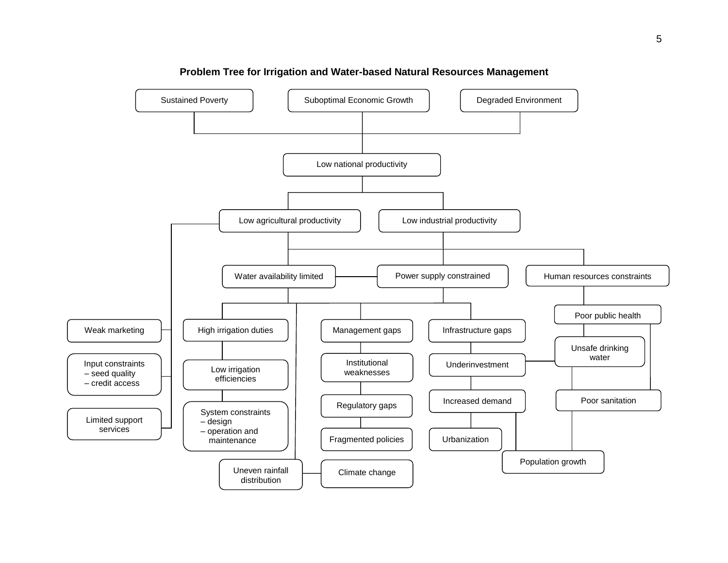

#### **Problem Tree for Irrigation and Water-based Natural Resources Management**